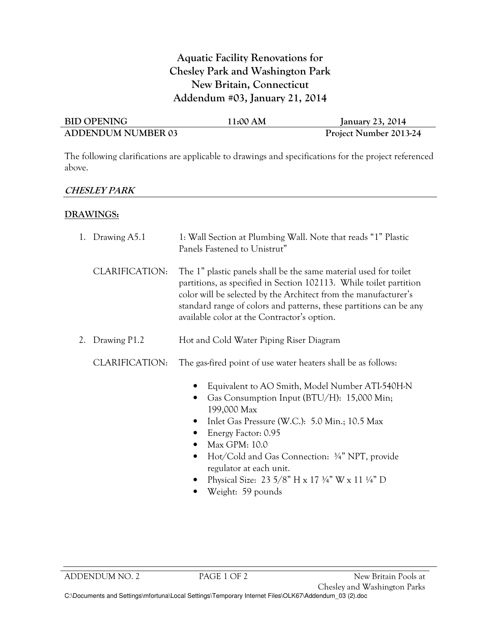# Aquatic Facility Renovations for Chesley Park and Washington Park New Britain, Connecticut Addendum #03, January 21, 2014

| <b>BID OPENING</b>        | 11:00 AM | <b>January 23, 2014</b> |
|---------------------------|----------|-------------------------|
| <b>ADDENDUM NUMBER 03</b> |          | Project Number 2013-24  |

The following clarifications are applicable to drawings and specifications for the project referenced above.

### CHESLEY PARK

### DRAWINGS:

|    | 1. Drawing A5.1 | 1: Wall Section at Plumbing Wall. Note that reads "1" Plastic<br>Panels Fastened to Unistrut"                                                                                                                                                                                                                                                                               |  |
|----|-----------------|-----------------------------------------------------------------------------------------------------------------------------------------------------------------------------------------------------------------------------------------------------------------------------------------------------------------------------------------------------------------------------|--|
|    | CLARIFICATION:  | The 1" plastic panels shall be the same material used for toilet<br>partitions, as specified in Section 102113. While toilet partition<br>color will be selected by the Architect from the manufacturer's<br>standard range of colors and patterns, these partitions can be any<br>available color at the Contractor's option.                                              |  |
| 2. | Drawing P1.2    | Hot and Cold Water Piping Riser Diagram                                                                                                                                                                                                                                                                                                                                     |  |
|    | CLARIFICATION:  | The gas-fired point of use water heaters shall be as follows:                                                                                                                                                                                                                                                                                                               |  |
|    |                 | Equivalent to AO Smith, Model Number ATI-540H-N<br>Gas Consumption Input (BTU/H): 15,000 Min;<br>$\bullet$<br>199,000 Max<br>Inlet Gas Pressure (W.C.): 5.0 Min.; 10.5 Max<br>Energy Factor: 0.95<br>Max GPM: 10.0<br>Hot/Cold and Gas Connection: 3/4" NPT, provide<br>$\bullet$<br>regulator at each unit.<br>Physical Size: 23 5/8" H x 17 3/4" W x 11 $\frac{1}{4}$ " D |  |

• Weight: 59 pounds